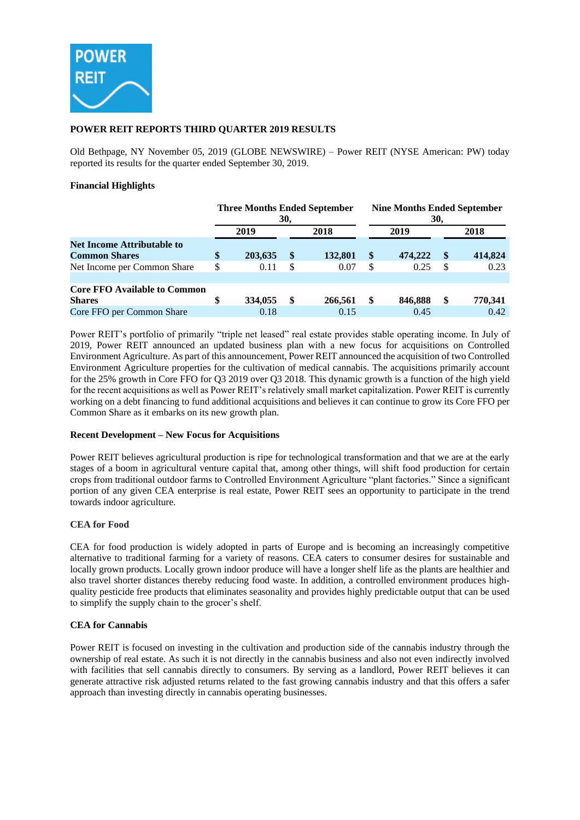

## **POWER REIT REPORTS THIRD QUARTER 2019 RESULTS**

Old Bethpage, NY November 05, 2019 (GLOBE NEWSWIRE) – Power REIT (NYSE American: PW) today reported its results for the quarter ended September 30, 2019.

## **Financial Highlights**

|                                                           | <b>Three Months Ended September</b><br>30, |         |               |         | <b>Nine Months Ended September</b><br>30, |         |                   |         |  |
|-----------------------------------------------------------|--------------------------------------------|---------|---------------|---------|-------------------------------------------|---------|-------------------|---------|--|
|                                                           |                                            | 2019    |               | 2018    |                                           | 2019    |                   | 2018    |  |
| <b>Net Income Attributable to</b><br><b>Common Shares</b> | \$                                         | 203,635 | $\mathbf{\$}$ | 132,801 | \$                                        | 474,222 | $\boldsymbol{\$}$ | 414,824 |  |
| Net Income per Common Share                               | \$                                         | 0.11    | -S            | 0.07    | S                                         | 0.25    | \$                | 0.23    |  |
| <b>Core FFO Available to Common</b><br><b>Shares</b>      |                                            | 334,055 | S             | 266,561 |                                           | 846,888 | \$                | 770,341 |  |
| Core FFO per Common Share                                 |                                            | 0.18    |               | 0.15    |                                           | 0.45    |                   | 0.42    |  |

Power REIT's portfolio of primarily "triple net leased" real estate provides stable operating income. In July of 2019, Power REIT announced an updated business plan with a new focus for acquisitions on Controlled Environment Agriculture. As part of this announcement, Power REIT announced the acquisition of two Controlled Environment Agriculture properties for the cultivation of medical cannabis. The acquisitions primarily account for the 25% growth in Core FFO for Q3 2019 over Q3 2018. This dynamic growth is a function of the high yield for the recent acquisitions as well as Power REIT's relatively small market capitalization. Power REIT is currently working on a debt financing to fund additional acquisitions and believes it can continue to grow its Core FFO per Common Share as it embarks on its new growth plan.

## **Recent Development – New Focus for Acquisitions**

Power REIT believes agricultural production is ripe for technological transformation and that we are at the early stages of a boom in agricultural venture capital that, among other things, will shift food production for certain crops from traditional outdoor farms to Controlled Environment Agriculture "plant factories." Since a significant portion of any given CEA enterprise is real estate, Power REIT sees an opportunity to participate in the trend towards indoor agriculture.

## **CEA for Food**

CEA for food production is widely adopted in parts of Europe and is becoming an increasingly competitive alternative to traditional farming for a variety of reasons. CEA caters to consumer desires for sustainable and locally grown products. Locally grown indoor produce will have a longer shelf life as the plants are healthier and also travel shorter distances thereby reducing food waste. In addition, a controlled environment produces highquality pesticide free products that eliminates seasonality and provides highly predictable output that can be used to simplify the supply chain to the grocer's shelf.

## **CEA for Cannabis**

Power REIT is focused on investing in the cultivation and production side of the cannabis industry through the ownership of real estate. As such it is not directly in the cannabis business and also not even indirectly involved with facilities that sell cannabis directly to consumers. By serving as a landlord, Power REIT believes it can generate attractive risk adjusted returns related to the fast growing cannabis industry and that this offers a safer approach than investing directly in cannabis operating businesses.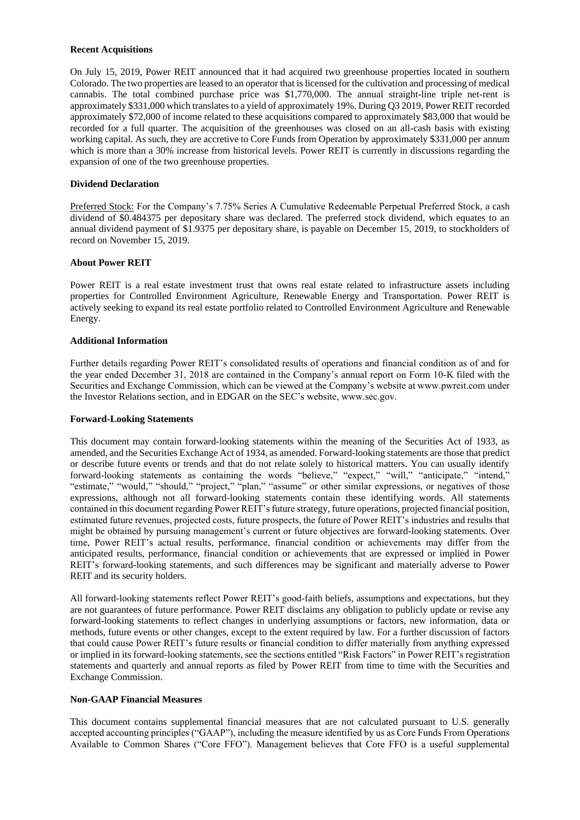#### **Recent Acquisitions**

On July 15, 2019, Power REIT announced that it had acquired two greenhouse properties located in southern Colorado. The two properties are leased to an operator that is licensed for the cultivation and processing of medical cannabis. The total combined purchase price was \$1,770,000. The annual straight-line triple net-rent is approximately \$331,000 which translates to a yield of approximately 19%. During Q3 2019, Power REIT recorded approximately \$72,000 of income related to these acquisitions compared to approximately \$83,000 that would be recorded for a full quarter. The acquisition of the greenhouses was closed on an all-cash basis with existing working capital. As such, they are accretive to Core Funds from Operation by approximately \$331,000 per annum which is more than a 30% increase from historical levels. Power REIT is currently in discussions regarding the expansion of one of the two greenhouse properties.

## **Dividend Declaration**

Preferred Stock: For the Company's 7.75% Series A Cumulative Redeemable Perpetual Preferred Stock, a cash dividend of \$0.484375 per depositary share was declared. The preferred stock dividend, which equates to an annual dividend payment of \$1.9375 per depositary share, is payable on December 15, 2019, to stockholders of record on November 15, 2019.

### **About Power REIT**

Power REIT is a real estate investment trust that owns real estate related to infrastructure assets including properties for Controlled Environment Agriculture, Renewable Energy and Transportation. Power REIT is actively seeking to expand its real estate portfolio related to Controlled Environment Agriculture and Renewable Energy.

#### **Additional Information**

Further details regarding Power REIT's consolidated results of operations and financial condition as of and for the year ended December 31, 2018 are contained in the Company's annual report on Form 10-K filed with the Securities and Exchange Commission, which can be viewed at the Company's website at www.pwreit.com under the Investor Relations section, and in EDGAR on the SEC's website, www.sec.gov.

#### **Forward-Looking Statements**

This document may contain forward-looking statements within the meaning of the Securities Act of 1933, as amended, and the Securities Exchange Act of 1934, as amended. Forward-looking statements are those that predict or describe future events or trends and that do not relate solely to historical matters. You can usually identify forward-looking statements as containing the words "believe," "expect," "will," "anticipate," "intend," "estimate," "would," "should," "project," "plan," "assume" or other similar expressions, or negatives of those expressions, although not all forward-looking statements contain these identifying words. All statements contained in this document regarding Power REIT's future strategy, future operations, projected financial position, estimated future revenues, projected costs, future prospects, the future of Power REIT's industries and results that might be obtained by pursuing management's current or future objectives are forward-looking statements. Over time, Power REIT's actual results, performance, financial condition or achievements may differ from the anticipated results, performance, financial condition or achievements that are expressed or implied in Power REIT's forward-looking statements, and such differences may be significant and materially adverse to Power REIT and its security holders.

All forward-looking statements reflect Power REIT's good-faith beliefs, assumptions and expectations, but they are not guarantees of future performance. Power REIT disclaims any obligation to publicly update or revise any forward-looking statements to reflect changes in underlying assumptions or factors, new information, data or methods, future events or other changes, except to the extent required by law. For a further discussion of factors that could cause Power REIT's future results or financial condition to differ materially from anything expressed or implied in its forward-looking statements, see the sections entitled "Risk Factors" in Power REIT's registration statements and quarterly and annual reports as filed by Power REIT from time to time with the Securities and Exchange Commission.

## **Non-GAAP Financial Measures**

This document contains supplemental financial measures that are not calculated pursuant to U.S. generally accepted accounting principles ("GAAP"), including the measure identified by us as Core Funds From Operations Available to Common Shares ("Core FFO"). Management believes that Core FFO is a useful supplemental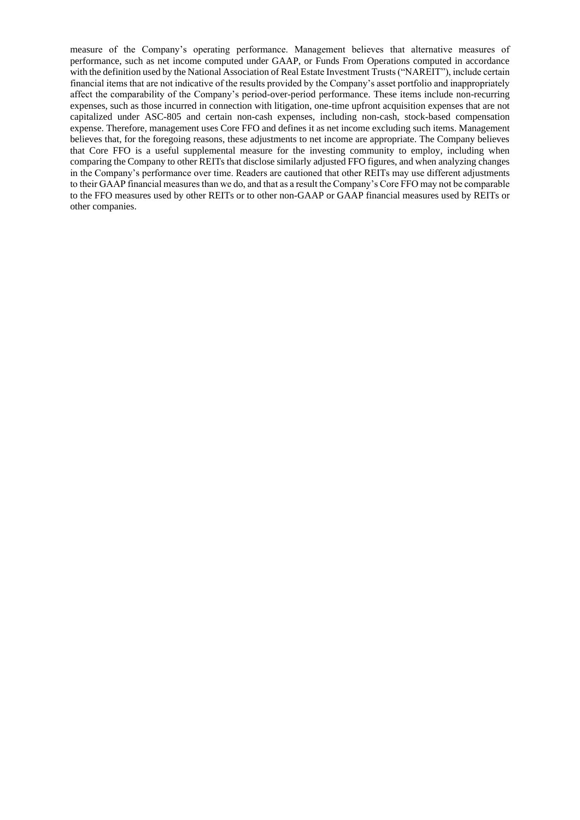measure of the Company's operating performance. Management believes that alternative measures of performance, such as net income computed under GAAP, or Funds From Operations computed in accordance with the definition used by the National Association of Real Estate Investment Trusts ("NAREIT"), include certain financial items that are not indicative of the results provided by the Company's asset portfolio and inappropriately affect the comparability of the Company's period-over-period performance. These items include non-recurring expenses, such as those incurred in connection with litigation, one-time upfront acquisition expenses that are not capitalized under ASC-805 and certain non-cash expenses, including non-cash, stock-based compensation expense. Therefore, management uses Core FFO and defines it as net income excluding such items. Management believes that, for the foregoing reasons, these adjustments to net income are appropriate. The Company believes that Core FFO is a useful supplemental measure for the investing community to employ, including when comparing the Company to other REITs that disclose similarly adjusted FFO figures, and when analyzing changes in the Company's performance over time. Readers are cautioned that other REITs may use different adjustments to their GAAP financial measures than we do, and that as a result the Company's Core FFO may not be comparable to the FFO measures used by other REITs or to other non-GAAP or GAAP financial measures used by REITs or other companies.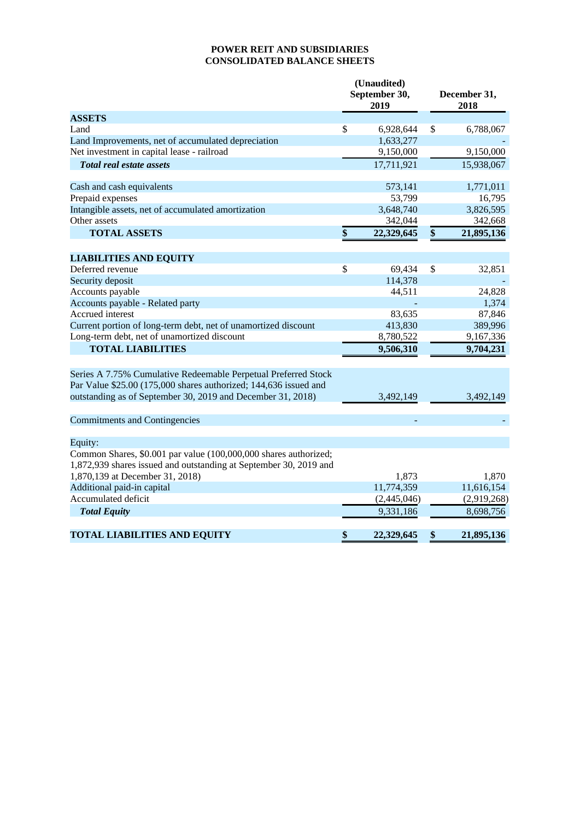# **POWER REIT AND SUBSIDIARIES CONSOLIDATED BALANCE SHEETS**

|                                                                                                                                       | (Unaudited)<br>September 30,<br>2019 | December 31,<br>2018 |             |  |  |
|---------------------------------------------------------------------------------------------------------------------------------------|--------------------------------------|----------------------|-------------|--|--|
| <b>ASSETS</b>                                                                                                                         |                                      |                      |             |  |  |
| Land                                                                                                                                  | \$<br>6,928,644                      | \$                   | 6,788,067   |  |  |
| Land Improvements, net of accumulated depreciation                                                                                    | 1,633,277                            |                      |             |  |  |
| Net investment in capital lease - railroad                                                                                            | 9,150,000                            |                      | 9,150,000   |  |  |
| <b>Total real estate assets</b>                                                                                                       | 17,711,921                           |                      | 15,938,067  |  |  |
| Cash and cash equivalents                                                                                                             | 573,141                              |                      | 1,771,011   |  |  |
| Prepaid expenses                                                                                                                      | 53,799                               |                      | 16,795      |  |  |
| Intangible assets, net of accumulated amortization                                                                                    | 3,648,740                            |                      | 3,826,595   |  |  |
| Other assets                                                                                                                          | 342,044                              |                      | 342,668     |  |  |
| <b>TOTAL ASSETS</b>                                                                                                                   | \$<br>22,329,645                     | \$                   | 21,895,136  |  |  |
| <b>LIABILITIES AND EQUITY</b>                                                                                                         |                                      |                      |             |  |  |
| Deferred revenue                                                                                                                      | \$<br>69,434                         | \$                   | 32,851      |  |  |
| Security deposit                                                                                                                      | 114,378                              |                      |             |  |  |
| Accounts payable                                                                                                                      | 44,511                               |                      | 24,828      |  |  |
| Accounts payable - Related party                                                                                                      |                                      |                      | 1,374       |  |  |
| Accrued interest                                                                                                                      | 83,635                               |                      | 87,846      |  |  |
| Current portion of long-term debt, net of unamortized discount                                                                        | 413,830                              |                      | 389,996     |  |  |
| Long-term debt, net of unamortized discount                                                                                           | 8,780,522                            |                      | 9,167,336   |  |  |
| <b>TOTAL LIABILITIES</b>                                                                                                              | 9,506,310                            |                      | 9,704,231   |  |  |
| Series A 7.75% Cumulative Redeemable Perpetual Preferred Stock                                                                        |                                      |                      |             |  |  |
| Par Value \$25.00 (175,000 shares authorized; 144,636 issued and                                                                      |                                      |                      |             |  |  |
| outstanding as of September 30, 2019 and December 31, 2018)                                                                           | 3,492,149                            |                      | 3,492,149   |  |  |
| <b>Commitments and Contingencies</b>                                                                                                  |                                      |                      |             |  |  |
| Equity:                                                                                                                               |                                      |                      |             |  |  |
| Common Shares, \$0.001 par value (100,000,000 shares authorized;<br>1,872,939 shares issued and outstanding at September 30, 2019 and |                                      |                      |             |  |  |
| 1,870,139 at December 31, 2018)                                                                                                       | 1,873                                |                      | 1,870       |  |  |
| Additional paid-in capital                                                                                                            | 11,774,359                           |                      | 11,616,154  |  |  |
| Accumulated deficit                                                                                                                   | (2,445,046)                          |                      | (2,919,268) |  |  |
| <b>Total Equity</b>                                                                                                                   | 9,331,186                            |                      | 8,698,756   |  |  |
| <b>TOTAL LIABILITIES AND EQUITY</b>                                                                                                   | \$<br>22,329,645                     | \$                   | 21,895,136  |  |  |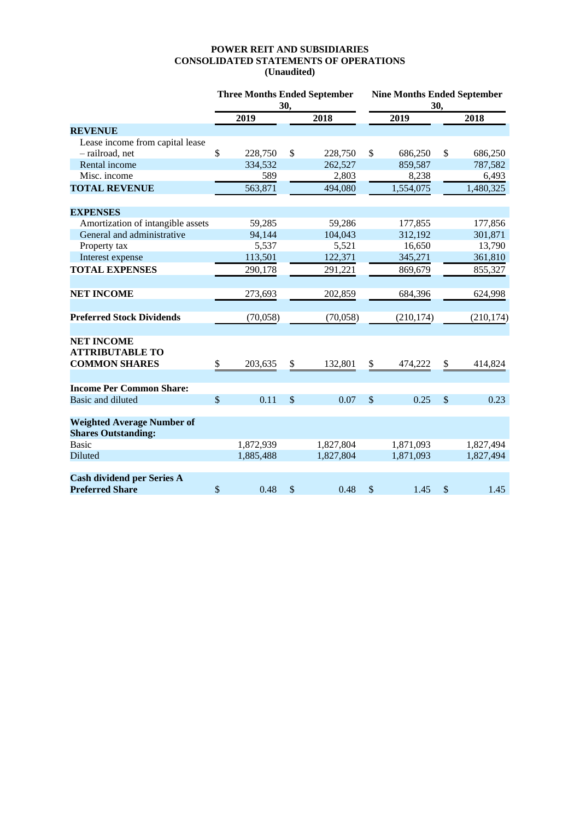## **POWER REIT AND SUBSIDIARIES CONSOLIDATED STATEMENTS OF OPERATIONS (Unaudited)**

|                                                                     | <b>Three Months Ended September</b><br>30, |           |               |           | <b>Nine Months Ended September</b><br>30, |                  |              |            |  |
|---------------------------------------------------------------------|--------------------------------------------|-----------|---------------|-----------|-------------------------------------------|------------------|--------------|------------|--|
|                                                                     |                                            | 2019      |               | 2018      |                                           | $\frac{2019}{ }$ |              | 2018       |  |
| <b>REVENUE</b>                                                      |                                            |           |               |           |                                           |                  |              |            |  |
| Lease income from capital lease                                     |                                            |           |               |           |                                           |                  |              |            |  |
| - railroad, net                                                     | \$                                         | 228,750   | \$            | 228,750   | \$                                        | 686,250          | \$           | 686,250    |  |
| Rental income                                                       |                                            | 334,532   |               | 262,527   |                                           | 859,587          |              | 787,582    |  |
| Misc. income                                                        |                                            | 589       |               | 2,803     |                                           | 8,238            |              | 6,493      |  |
| <b>TOTAL REVENUE</b>                                                |                                            | 563,871   |               | 494,080   |                                           | 1,554,075        |              | 1,480,325  |  |
| <b>EXPENSES</b>                                                     |                                            |           |               |           |                                           |                  |              |            |  |
| Amortization of intangible assets                                   |                                            | 59,285    |               | 59,286    |                                           | 177,855          |              | 177,856    |  |
| General and administrative                                          |                                            | 94,144    |               | 104,043   |                                           | 312,192          |              | 301,871    |  |
| Property tax                                                        |                                            | 5,537     |               | 5,521     |                                           | 16,650           |              | 13,790     |  |
| Interest expense                                                    |                                            | 113,501   |               | 122,371   |                                           | 345,271          |              | 361,810    |  |
| <b>TOTAL EXPENSES</b>                                               |                                            | 290,178   |               | 291,221   |                                           | 869,679          |              | 855,327    |  |
| <b>NET INCOME</b>                                                   |                                            | 273,693   |               | 202,859   |                                           | 684,396          |              | 624,998    |  |
| <b>Preferred Stock Dividends</b>                                    |                                            | (70,058)  |               | (70,058)  |                                           | (210, 174)       |              | (210, 174) |  |
| <b>NET INCOME</b><br><b>ATTRIBUTABLE TO</b><br><b>COMMON SHARES</b> | \$                                         | 203,635   | \$            | 132,801   | \$                                        | 474,222          | \$           | 414,824    |  |
|                                                                     |                                            |           |               |           |                                           |                  |              |            |  |
| <b>Income Per Common Share:</b>                                     |                                            |           |               |           |                                           |                  |              |            |  |
| <b>Basic and diluted</b>                                            | $\mathsf{\$}$                              | 0.11      | $\mathcal{S}$ | 0.07      | $\mathcal{S}$                             | 0.25             | $\mathbb{S}$ | 0.23       |  |
| <b>Weighted Average Number of</b><br><b>Shares Outstanding:</b>     |                                            |           |               |           |                                           |                  |              |            |  |
| <b>Basic</b>                                                        |                                            | 1,872,939 |               | 1,827,804 |                                           | 1,871,093        |              | 1,827,494  |  |
| <b>Diluted</b>                                                      |                                            | 1,885,488 |               | 1,827,804 |                                           | 1,871,093        |              | 1,827,494  |  |
| <b>Cash dividend per Series A</b><br><b>Preferred Share</b>         | \$                                         | 0.48      | \$            | 0.48      | $\mathcal{S}$                             | 1.45             | \$           | 1.45       |  |
|                                                                     |                                            |           |               |           |                                           |                  |              |            |  |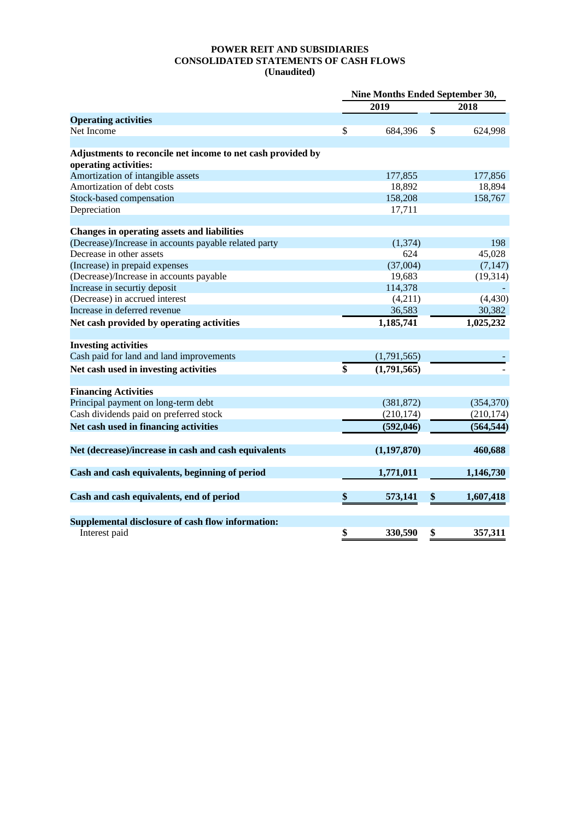## **POWER REIT AND SUBSIDIARIES CONSOLIDATED STATEMENTS OF CASH FLOWS (Unaudited)**

|                                                             |                   | Nine Months Ended September 30, |  |  |
|-------------------------------------------------------------|-------------------|---------------------------------|--|--|
|                                                             | 2019              | 2018                            |  |  |
| <b>Operating activities</b>                                 |                   |                                 |  |  |
| Net Income                                                  | \$<br>684,396     | \$<br>624,998                   |  |  |
| Adjustments to reconcile net income to net cash provided by |                   |                                 |  |  |
| operating activities:                                       |                   |                                 |  |  |
| Amortization of intangible assets                           | 177,855           | 177,856                         |  |  |
| Amortization of debt costs                                  | 18,892            | 18,894                          |  |  |
| Stock-based compensation                                    | 158,208           | 158,767                         |  |  |
| Depreciation                                                | 17,711            |                                 |  |  |
| <b>Changes in operating assets and liabilities</b>          |                   |                                 |  |  |
| (Decrease)/Increase in accounts payable related party       | (1, 374)          | 198                             |  |  |
| Decrease in other assets                                    | 624               | 45,028                          |  |  |
| (Increase) in prepaid expenses                              | (37,004)          | (7, 147)                        |  |  |
| (Decrease)/Increase in accounts payable                     | 19,683            |                                 |  |  |
| Increase in securtiy deposit                                | 114,378           | (19, 314)                       |  |  |
| (Decrease) in accrued interest                              | (4,211)           | (4, 430)                        |  |  |
| Increase in deferred revenue                                | 36,583            | 30,382                          |  |  |
|                                                             |                   | 1,025,232                       |  |  |
| Net cash provided by operating activities                   | 1,185,741         |                                 |  |  |
| <b>Investing activities</b>                                 |                   |                                 |  |  |
| Cash paid for land and land improvements                    | (1,791,565)       |                                 |  |  |
| Net cash used in investing activities                       | \$<br>(1,791,565) |                                 |  |  |
| <b>Financing Activities</b>                                 |                   |                                 |  |  |
| Principal payment on long-term debt                         | (381, 872)        | (354, 370)                      |  |  |
| Cash dividends paid on preferred stock                      | (210, 174)        | (210, 174)                      |  |  |
| Net cash used in financing activities                       | (592, 046)        | (564, 544)                      |  |  |
| Net (decrease)/increase in cash and cash equivalents        | (1, 197, 870)     | 460,688                         |  |  |
|                                                             |                   |                                 |  |  |
| Cash and cash equivalents, beginning of period              | 1,771,011         | 1,146,730                       |  |  |
| Cash and cash equivalents, end of period                    | \$<br>573,141     | \$<br>1,607,418                 |  |  |
| Supplemental disclosure of cash flow information:           |                   |                                 |  |  |
| Interest paid                                               | \$<br>330,590     | \$<br>357,311                   |  |  |